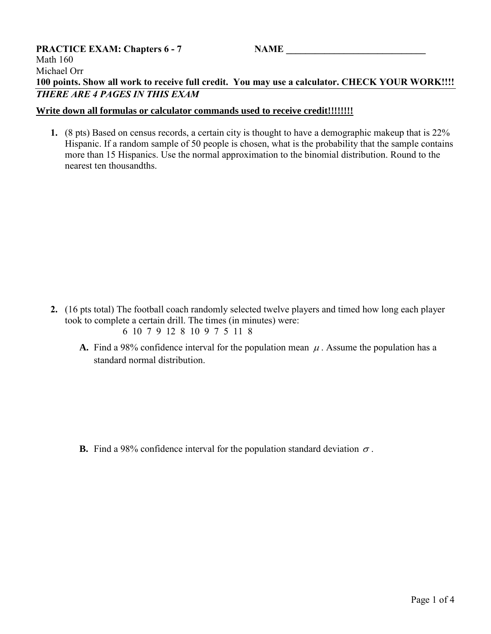## **PRACTICE EXAM: Chapters 6 - 7 <b>NAME** Math 160 Michael Orr **100 points. Show all work to receive full credit. You may use a calculator. CHECK YOUR WORK!!!!** *THERE ARE 4 PAGES IN THIS EXAM*

## **Write down all formulas or calculator commands used to receive credit!!!!!!!!**

**1.** (8 pts) Based on census records, a certain city is thought to have a demographic makeup that is 22% Hispanic. If a random sample of 50 people is chosen, what is the probability that the sample contains more than 15 Hispanics. Use the normal approximation to the binomial distribution. Round to the nearest ten thousandths.

- **2.** (16 pts total) The football coach randomly selected twelve players and timed how long each player took to complete a certain drill. The times (in minutes) were: 6 10 7 9 12 8 10 9 7 5 11 8
	- **A.** Find a 98% confidence interval for the population mean  $\mu$ . Assume the population has a standard normal distribution.

**B.** Find a 98% confidence interval for the population standard deviation  $\sigma$ .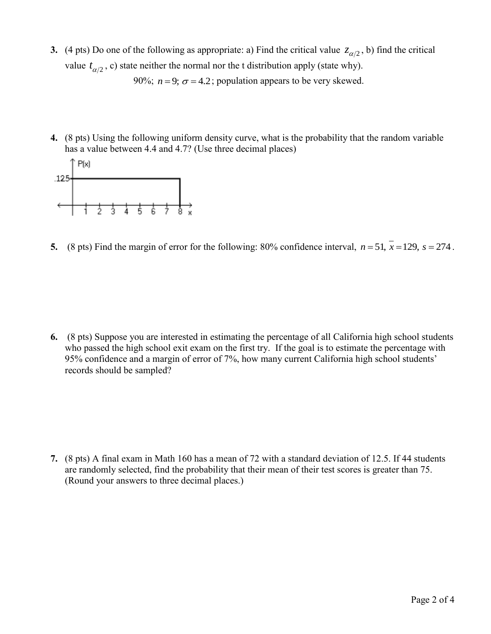- **3.** (4 pts) Do one of the following as appropriate: a) Find the critical value  $z_{\alpha/2}$ , b) find the critical value  $t_{\alpha/2}$ , c) state neither the normal nor the t distribution apply (state why). 90%;  $n = 9$ ;  $\sigma = 4.2$ ; population appears to be very skewed.
- **4.** (8 pts) Using the following uniform density curve, what is the probability that the random variable has a value between 4.4 and 4.7? (Use three decimal places)



**5.** (8 pts) Find the margin of error for the following: 80% confidence interval,  $n = 51$ ,  $\overline{x} = 129$ ,  $s = 274$ .

**6.** (8 pts) Suppose you are interested in estimating the percentage of all California high school students who passed the high school exit exam on the first try. If the goal is to estimate the percentage with 95% confidence and a margin of error of 7%, how many current California high school students' records should be sampled?

**7.** (8 pts) A final exam in Math 160 has a mean of 72 with a standard deviation of 12.5. If 44 students are randomly selected, find the probability that their mean of their test scores is greater than 75. (Round your answers to three decimal places.)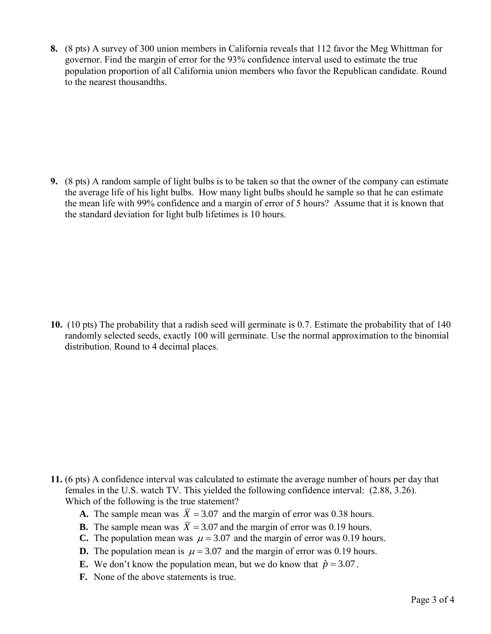**8.** (8 pts) A survey of 300 union members in California reveals that 112 favor the Meg Whittman for governor. Find the margin of error for the 93% confidence interval used to estimate the true population proportion of all California union members who favor the Republican candidate. Round to the nearest thousandths.

**9.** (8 pts) A random sample of light bulbs is to be taken so that the owner of the company can estimate the average life of his light bulbs. How many light bulbs should he sample so that he can estimate the mean life with 99% confidence and a margin of error of 5 hours? Assume that it is known that the standard deviation for light bulb lifetimes is 10 hours.

**10.** (10 pts) The probability that a radish seed will germinate is 0.7. Estimate the probability that of 140 randomly selected seeds, exactly 100 will germinate. Use the normal approximation to the binomial distribution. Round to 4 decimal places.

- **11.** (6 pts) A confidence interval was calculated to estimate the average number of hours per day that females in the U.S. watch TV. This yielded the following confidence interval: (2.88, 3.26). Which of the following is the true statement?
	- **A.** The sample mean was  $\overline{X} = 3.07$  and the margin of error was 0.38 hours.
	- **B.** The sample mean was  $\overline{X} = 3.07$  and the margin of error was 0.19 hours.
	- **C.** The population mean was  $\mu = 3.07$  and the margin of error was 0.19 hours.
	- **D.** The population mean is  $\mu = 3.07$  and the margin of error was 0.19 hours.
	- **E.** We don't know the population mean, but we do know that  $\hat{p} = 3.07$ .
	- **F.** None of the above statements is true.